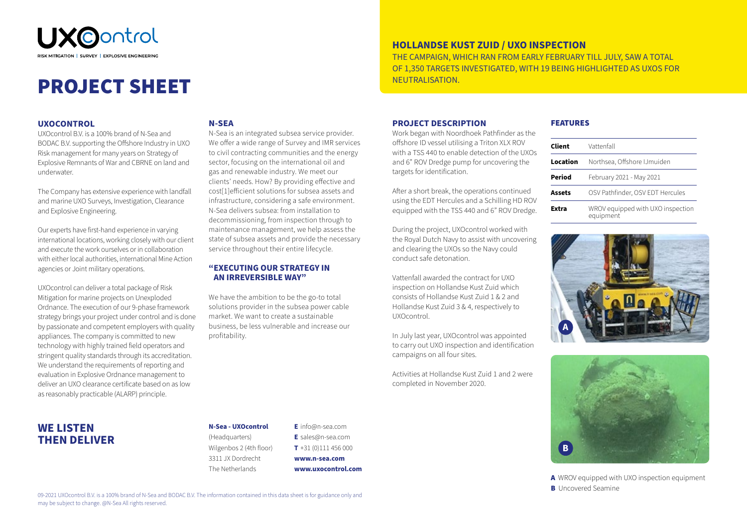

# PROJECT SHEET

#### **UXOCONTROL**

**WE LISTEN THEN DELIVER**

UXOcontrol B.V. is a 100% brand of N-Sea and BODAC B.V. supporting the Offshore Industry in UXO Risk management for many years on Strategy of Explosive Remnants of War and CBRNE on land and underwater.

The Company has extensive experience with landfall and marine UXO Surveys, Investigation, Clearance and Explosive Engineering.

Our experts have first-hand experience in varying international locations, working closely with our client and execute the work ourselves or in collaboration with either local authorities, international Mine Action agencies or Joint military operations.

UXOcontrol can deliver a total package of Risk Mitigation for marine projects on Unexploded Ordnance. The execution of our 9-phase framework strategy brings your project under control and is done by passionate and competent employers with quality appliances. The company is committed to new technology with highly trained field operators and stringent quality standards through its accreditation. We understand the requirements of reporting and evaluation in Explosive Ordnance management to deliver an UXO clearance certificate based on as low as reasonably practicable (ALARP) principle.

#### **N-SEA**

N-Sea is an integrated subsea service provider. We offer a wide range of Survey and IMR services to civil contracting communities and the energy sector, focusing on the international oil and gas and renewable industry. We meet our clients' needs. How? By providing effective and cost[1]efficient solutions for subsea assets and infrastructure, considering a safe environment. N-Sea delivers subsea: from installation to decommissioning, from inspection through to maintenance management, we help assess the state of subsea assets and provide the necessary service throughout their entire lifecycle.

#### **"EXECUTING OUR STRATEGY IN AN IRREVERSIBLE WAY"**

We have the ambition to be the go-to total solutions provider in the subsea power cable market. We want to create a sustainable business, be less vulnerable and increase our profitability.

### **HOLLANDSE KUST ZUID / UXO INSPECTION**

THE CAMPAIGN, WHICH RAN FROM EARLY FEBRUARY TILL JULY, SAW A TOTAL OF 1,350 TARGETS INVESTIGATED, WITH 19 BEING HIGHLIGHTED AS UXOS FOR NEUTRALISATION.

#### **PROJECT DESCRIPTION**

Work began with Noordhoek Pathfinder as the offshore ID vessel utilising a Triton XLX ROV with a TSS 440 to enable detection of the UXOs and 6" ROV Dredge pump for uncovering the targets for identification.

After a short break, the operations continued using the EDT Hercules and a Schilling HD ROV equipped with the TSS 440 and 6" ROV Dredge.

During the project, UXOcontrol worked with the Royal Dutch Navy to assist with uncovering and clearing the UXOs so the Navy could conduct safe detonation.

Vattenfall awarded the contract for UXO inspection on Hollandse Kust Zuid which consists of Hollandse Kust Zuid 1 & 2 and Hollandse Kust Zuid 3 & 4, respectively to UXOcontrol.

In July last year, UXOcontrol was appointed to carry out UXO inspection and identification campaigns on all four sites.

Activities at Hollandse Kust Zuid 1 and 2 were completed in November 2020.

#### FEATURES

| Client   | Vattenfall                                     |
|----------|------------------------------------------------|
| Location | Northsea, Offshore IJmuiden                    |
| Period   | February 2021 - May 2021                       |
| Assets   | OSV Pathfinder, OSV EDT Hercules               |
| Fxtra    | WROV equipped with UXO inspection<br>equipment |





A WROV equipped with UXO inspection equipment **B** Uncovered Seamine

## **N-Sea - UXOcontrol**

(Headquarters) Wilgenbos 2 (4th floor) 3311 JX Dordrecht The Netherlands

**E** info@n-sea.com **E** sales@n-sea.com **T** +31 (0)111 456 000 **www.n-sea.com www.uxocontrol.com**

09-2021 UXOcontrol B.V. is a 100% brand of N-Sea and BODAC B.V. The information contained in this data sheet is for guidance only and may be subject to change. @N-Sea All rights reserved.